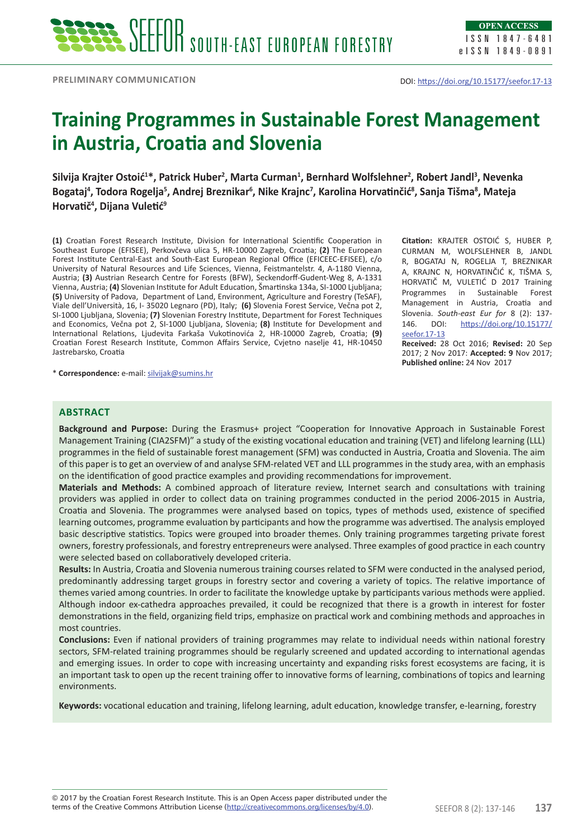# **Training Programmes in Sustainable Forest Management in Austria, Croatia and Slovenia**

**Silvija Krajter Ostoić<sup>1</sup> \*, Patrick Huber<sup>2</sup> , Marta Curman1 , Bernhard Wolfslehner<sup>2</sup> , Robert Jandl<sup>3</sup> , Nevenka Bogataj<sup>4</sup> , Todora Rogelja<sup>5</sup> , Andrej Breznikar<sup>6</sup> , Nike Krajnc<sup>7</sup> , Karolina Horvatinčić<sup>8</sup> , Sanja Tišma<sup>8</sup> , Mateja Horvatič<sup>4</sup> , Dijana Vuletić9**

**(1)** Croatian Forest Research Institute, Division for International Scientific Cooperation in Southeast Europe (EFISEE), Perkovčeva ulica 5, HR-10000 Zagreb, Croatia; **(2)** The European Forest Institute Central-East and South-East European Regional Office (EFICEEC-EFISEE), c/o University of Natural Resources and Life Sciences, Vienna, Feistmantelstr. 4, A-1180 Vienna, Austria; **(3)** Austrian Research Centre for Forests (BFW), Seckendorff-Gudent-Weg 8, A-1331 Vienna, Austria; **(4)** Slovenian Institute for Adult Education, Šmartinska 134a, SI-1000 Ljubljana; **(5)** University of Padova, Department of Land, Environment, Agriculture and Forestry (TeSAF), Viale dell'Università, 16, I- 35020 Legnaro (PD), Italy; **(6)** Slovenia Forest Service, Večna pot 2, SI-1000 Ljubljana, Slovenia; **(7)** Slovenian Forestry Institute, Department for Forest Techniques and Economics, Večna pot 2, SI-1000 Ljubljana, Slovenia; **(8)** Institute for Development and International Relations, Ljudevita Farkaša Vukotinovića 2, HR-10000 Zagreb, Croatia; **(9)** Croatian Forest Research Institute, Common Affairs Service, Cvjetno naselje 41, HR-10450 Jastrebarsko, Croatia

\* **Correspondence:** e-mail: [silvijak@sumins.hr](mailto:silvijak@sumins.hr)

**Citation:** KRAJTER OSTOIĆ S, HUBER P, CURMAN M, WOLFSLEHNER B, JANDL R, BOGATAJ N, ROGELJA T, BREZNIKAR A, KRAJNC N, HORVATINČIĆ K, TIŠMA S, HORVATIČ M, VULETIĆ D 2017 Training Programmes in Sustainable Forest Management in Austria, Croatia and Slovenia. *South-east Eur for* 8 (2): 137- 146. DOI: [https://doi.org/10.15177/](https://doi.org/10.15177/seefor.17-13) [seefor.17-13](https://doi.org/10.15177/seefor.17-13) **Received:** 28 Oct 2016; **Revised:** 20 Sep

2017; 2 Nov 2017: **Accepted: 9** Nov 2017; **Published online:** 24 Nov 2017

# **Abstract**

**Background and Purpose:** During the Erasmus+ project "Cooperation for Innovative Approach in Sustainable Forest Management Training (CIA2SFM)" a study of the existing vocational education and training (VET) and lifelong learning (LLL) programmes in the field of sustainable forest management (SFM) was conducted in Austria, Croatia and Slovenia. The aim of this paper is to get an overview of and analyse SFM-related VET and LLL programmes in the study area, with an emphasis on the identification of good practice examples and providing recommendations for improvement.

**Materials and Methods:** A combined approach of literature review, Internet search and consultations with training providers was applied in order to collect data on training programmes conducted in the period 2006-2015 in Austria, Croatia and Slovenia. The programmes were analysed based on topics, types of methods used, existence of specified learning outcomes, programme evaluation by participants and how the programme was advertised. The analysis employed basic descriptive statistics. Topics were grouped into broader themes. Only training programmes targeting private forest owners, forestry professionals, and forestry entrepreneurs were analysed. Three examples of good practice in each country were selected based on collaboratively developed criteria.

**Results:** In Austria, Croatia and Slovenia numerous training courses related to SFM were conducted in the analysed period, predominantly addressing target groups in forestry sector and covering a variety of topics. The relative importance of themes varied among countries. In order to facilitate the knowledge uptake by participants various methods were applied. Although indoor ex-cathedra approaches prevailed, it could be recognized that there is a growth in interest for foster demonstrations in the field, organizing field trips, emphasize on practical work and combining methods and approaches in most countries.

**Conclusions:** Even if national providers of training programmes may relate to individual needs within national forestry sectors, SFM-related training programmes should be regularly screened and updated according to international agendas and emerging issues. In order to cope with increasing uncertainty and expanding risks forest ecosystems are facing, it is an important task to open up the recent training offer to innovative forms of learning, combinations of topics and learning environments.

**Keywords:** vocational education and training, lifelong learning, adult education, knowledge transfer, e-learning, forestry

terms of the Creative Commons Attribution License (<u>http://creativecommons.org/licenses/by/4.0</u>). SEEFOR 8 (2): 137-146 **137** © 2017 by the Croatian Forest Research Institute. This is an Open Access paper distributed under the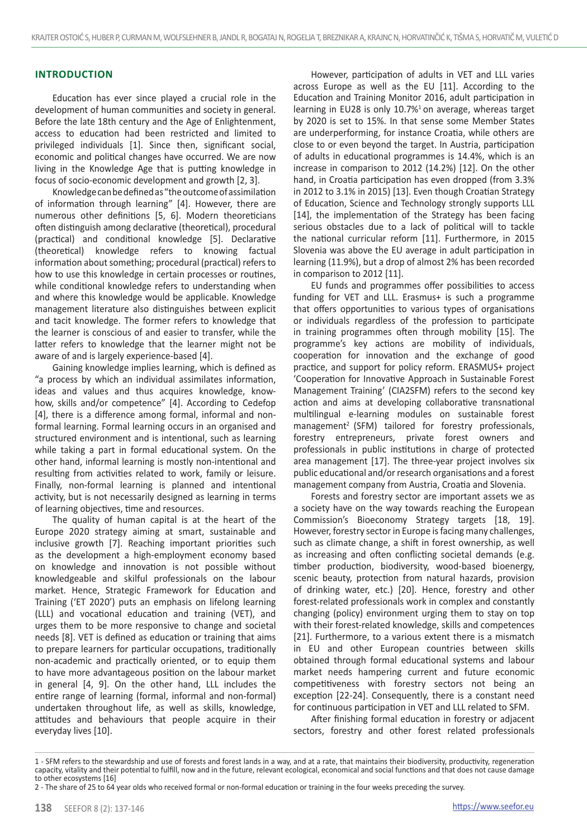## **INTRODUCTION**

Education has ever since played a crucial role in the development of human communities and society in general. Before the late 18th century and the Age of Enlightenment, access to education had been restricted and limited to privileged individuals [1]. Since then, significant social, economic and political changes have occurred. We are now living in the Knowledge Age that is putting knowledge in focus of socio-economic development and growth [2, 3].

Knowledge can be defined as "the outcome of assimilation of information through learning" [4]. However, there are numerous other definitions [5, 6]. Modern theoreticians often distinguish among declarative (theoretical), procedural (practical) and conditional knowledge [5]. Declarative (theoretical) knowledge refers to knowing factual information about something; procedural (practical) refers to how to use this knowledge in certain processes or routines, while conditional knowledge refers to understanding when and where this knowledge would be applicable. Knowledge management literature also distinguishes between explicit and tacit knowledge. The former refers to knowledge that the learner is conscious of and easier to transfer, while the latter refers to knowledge that the learner might not be aware of and is largely experience-based [4].

Gaining knowledge implies learning, which is defined as "a process by which an individual assimilates information, ideas and values and thus acquires knowledge, knowhow, skills and/or competence" [4]. According to Cedefop [4], there is a difference among formal, informal and nonformal learning. Formal learning occurs in an organised and structured environment and is intentional, such as learning while taking a part in formal educational system. On the other hand, informal learning is mostly non-intentional and resulting from activities related to work, family or leisure. Finally, non-formal learning is planned and intentional activity, but is not necessarily designed as learning in terms of learning objectives, time and resources.

The quality of human capital is at the heart of the Europe 2020 strategy aiming at smart, sustainable and inclusive growth [7]. Reaching important priorities such as the development a high-employment economy based on knowledge and innovation is not possible without knowledgeable and skilful professionals on the labour market. Hence, Strategic Framework for Education and Training ('ET 2020') puts an emphasis on lifelong learning (LLL) and vocational education and training (VET), and urges them to be more responsive to change and societal needs [8]. VET is defined as education or training that aims to prepare learners for particular occupations, traditionally non-academic and practically oriented, or to equip them to have more advantageous position on the labour market in general [4, 9]. On the other hand, LLL includes the entire range of learning (formal, informal and non-formal) undertaken throughout life, as well as skills, knowledge, attitudes and behaviours that people acquire in their everyday lives [10].

However, participation of adults in VET and LLL varies across Europe as well as the EU [11]. According to the Education and Training Monitor 2016, adult participation in learning in EU28 is only 10.7%<sup>1</sup> on average, whereas target by 2020 is set to 15%. In that sense some Member States are underperforming, for instance Croatia, while others are close to or even beyond the target. In Austria, participation of adults in educational programmes is 14.4%, which is an increase in comparison to 2012 (14.2%) [12]. On the other hand, in Croatia participation has even dropped (from 3.3% in 2012 to 3.1% in 2015) [13]. Even though Croatian Strategy of Education, Science and Technology strongly supports LLL [14], the implementation of the Strategy has been facing serious obstacles due to a lack of political will to tackle the national curricular reform [11]. Furthermore, in 2015 Slovenia was above the EU average in adult participation in learning (11.9%), but a drop of almost 2% has been recorded in comparison to 2012 [11].

EU funds and programmes offer possibilities to access funding for VET and LLL. Erasmus+ is such a programme that offers opportunities to various types of organisations or individuals regardless of the profession to participate in training programmes often through mobility [15]. The programme's key actions are mobility of individuals, cooperation for innovation and the exchange of good practice, and support for policy reform. ERASMUS+ project 'Cooperation for Innovative Approach in Sustainable Forest Management Training' (CIA2SFM) refers to the second key action and aims at developing collaborative transnational multilingual e-learning modules on sustainable forest management<sup>2</sup> (SFM) tailored for forestry professionals, forestry entrepreneurs, private forest owners and professionals in public institutions in charge of protected area management [17]. The three-year project involves six public educational and/or research organisations and a forest management company from Austria, Croatia and Slovenia.

Forests and forestry sector are important assets we as a society have on the way towards reaching the European Commission's Bioeconomy Strategy targets [18, 19]. However, forestry sector in Europe is facing many challenges, such as climate change, a shift in forest ownership, as well as increasing and often conflicting societal demands (e.g. timber production, biodiversity, wood-based bioenergy, scenic beauty, protection from natural hazards, provision of drinking water, etc.) [20]. Hence, forestry and other forest-related professionals work in complex and constantly changing (policy) environment urging them to stay on top with their forest-related knowledge, skills and competences [21]. Furthermore, to a various extent there is a mismatch in EU and other European countries between skills obtained through formal educational systems and labour market needs hampering current and future economic competitiveness with forestry sectors not being an exception [22-24]. Consequently, there is a constant need for continuous participation in VET and LLL related to SFM.

After finishing formal education in forestry or adjacent sectors, forestry and other forest related professionals

<sup>1 -</sup> SFM refers to the stewardship and use of forests and forest lands in a way, and at a rate, that maintains their biodiversity, productivity, regeneration capacity, vitality and their potential to fulfill, now and in the future, relevant ecological, economical and social functions and that does not cause damage to other ecosystems [16]

<sup>2 -</sup> The share of 25 to 64 year olds who received formal or non-formal education or training in the four weeks preceding the survey.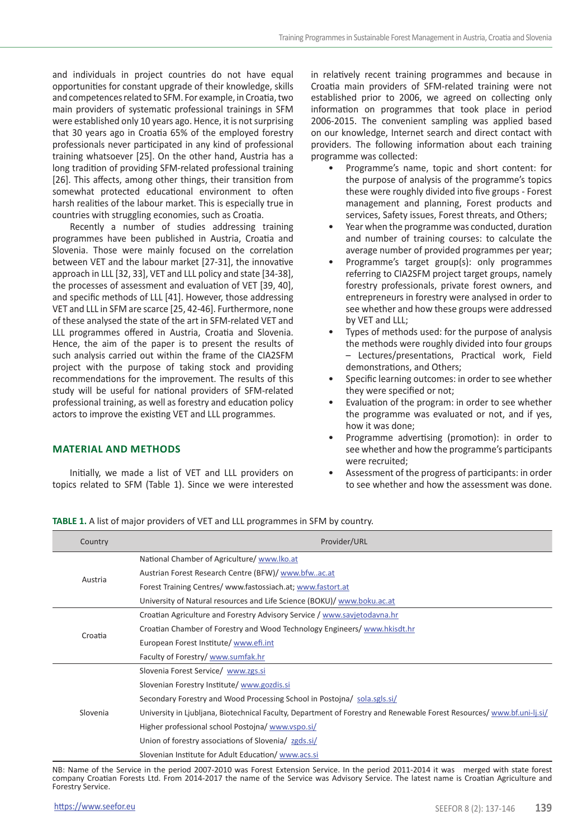and individuals in project countries do not have equal opportunities for constant upgrade of their knowledge, skills and competences related to SFM. For example, in Croatia, two main providers of systematic professional trainings in SFM were established only 10 years ago. Hence, it is not surprising that 30 years ago in Croatia 65% of the employed forestry professionals never participated in any kind of professional training whatsoever [25]. On the other hand, Austria has a long tradition of providing SFM-related professional training [26]. This affects, among other things, their transition from somewhat protected educational environment to often harsh realities of the labour market. This is especially true in countries with struggling economies, such as Croatia.

Recently a number of studies addressing training programmes have been published in Austria, Croatia and Slovenia. Those were mainly focused on the correlation between VET and the labour market [27-31], the innovative approach in LLL [32, 33], VET and LLL policy and state [34-38], the processes of assessment and evaluation of VET [39, 40], and specific methods of LLL [41]. However, those addressing VET and LLL in SFM are scarce [25, 42-46]. Furthermore, none of these analysed the state of the art in SFM-related VET and LLL programmes offered in Austria, Croatia and Slovenia. Hence, the aim of the paper is to present the results of such analysis carried out within the frame of the CIA2SFM project with the purpose of taking stock and providing recommendations for the improvement. The results of this study will be useful for national providers of SFM-related professional training, as well as forestry and education policy actors to improve the existing VET and LLL programmes.

## **MATERIAL AND METHODS**

Initially, we made a list of VET and LLL providers on topics related to SFM (Table 1). Since we were interested

in relatively recent training programmes and because in Croatia main providers of SFM-related training were not established prior to 2006, we agreed on collecting only information on programmes that took place in period 2006-2015. The convenient sampling was applied based on our knowledge, Internet search and direct contact with providers. The following information about each training programme was collected:

- Programme's name, topic and short content: for the purpose of analysis of the programme's topics these were roughly divided into five groups - Forest management and planning, Forest products and services, Safety issues, Forest threats, and Others;
- Year when the programme was conducted, duration and number of training courses: to calculate the average number of provided programmes per year;
- Programme's target group(s): only programmes referring to CIA2SFM project target groups, namely forestry professionals, private forest owners, and entrepreneurs in forestry were analysed in order to see whether and how these groups were addressed by VET and LLL;
- Types of methods used: for the purpose of analysis the methods were roughly divided into four groups – Lectures/presentations, Practical work, Field demonstrations, and Others;
- Specific learning outcomes: in order to see whether they were specified or not;
- Evaluation of the program: in order to see whether the programme was evaluated or not, and if yes, how it was done;
- Programme advertising (promotion): in order to see whether and how the programme's participants were recruited;
- Assessment of the progress of participants: in order to see whether and how the assessment was done.

**TABLE 1.** A list of major providers of VET and LLL programmes in SFM by country.

| Country  | Provider/URL                                                                                                            |  |  |  |  |
|----------|-------------------------------------------------------------------------------------------------------------------------|--|--|--|--|
| Austria  | National Chamber of Agriculture/ www.lko.at                                                                             |  |  |  |  |
|          | Austrian Forest Research Centre (BFW)/www.bfwac.at                                                                      |  |  |  |  |
|          | Forest Training Centres/ www.fastossiach.at; www.fastort.at                                                             |  |  |  |  |
|          | University of Natural resources and Life Science (BOKU)/ www.boku.ac.at                                                 |  |  |  |  |
| Croatia  | Croatian Agriculture and Forestry Advisory Service / www.savjetodavna.hr                                                |  |  |  |  |
|          | Croatian Chamber of Forestry and Wood Technology Engineers/www.hkisdt.hr                                                |  |  |  |  |
|          | European Forest Institute/www.efi.int                                                                                   |  |  |  |  |
|          | Faculty of Forestry/ www.sumfak.hr                                                                                      |  |  |  |  |
|          | Slovenia Forest Service/ www.zgs.si                                                                                     |  |  |  |  |
| Slovenia | Slovenian Forestry Institute/www.gozdis.si                                                                              |  |  |  |  |
|          | Secondary Forestry and Wood Processing School in Postojna/ sola.sgls.si/                                                |  |  |  |  |
|          | University in Ljubljana, Biotechnical Faculty, Department of Forestry and Renewable Forest Resources/ www.bf.uni-lj.si/ |  |  |  |  |
|          | Higher professional school Postojna/www.vspo.si/                                                                        |  |  |  |  |
|          | Union of forestry associations of Slovenia/ zgds.si/                                                                    |  |  |  |  |
|          | Slovenian Institute for Adult Education/www.acs.si                                                                      |  |  |  |  |

NB: Name of the Service in the period 2007-2010 was Forest Extension Service. In the period 2011-2014 it was merged with state forest company Croatian Forests Ltd. From 2014-2017 the name of the Service was Advisory Service. The latest name is Croatian Agriculture and Forestry Service.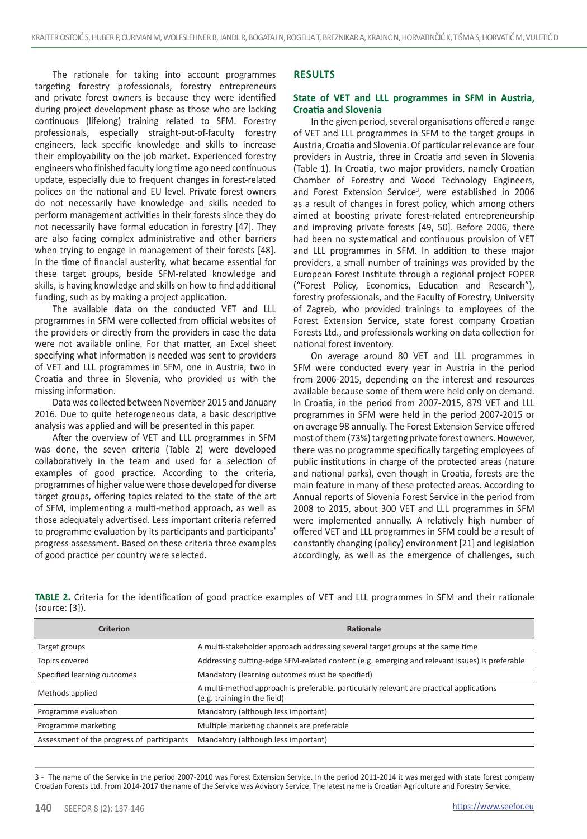The rationale for taking into account programmes targeting forestry professionals, forestry entrepreneurs and private forest owners is because they were identified during project development phase as those who are lacking continuous (lifelong) training related to SFM. Forestry professionals, especially straight-out-of-faculty forestry engineers, lack specific knowledge and skills to increase their employability on the job market. Experienced forestry engineers who finished faculty long time ago need continuous update, especially due to frequent changes in forest-related polices on the national and EU level. Private forest owners do not necessarily have knowledge and skills needed to perform management activities in their forests since they do not necessarily have formal education in forestry [47]. They are also facing complex administrative and other barriers when trying to engage in management of their forests [48]. In the time of financial austerity, what became essential for these target groups, beside SFM-related knowledge and skills, is having knowledge and skills on how to find additional funding, such as by making a project application.

The available data on the conducted VET and LLL programmes in SFM were collected from official websites of the providers or directly from the providers in case the data were not available online. For that matter, an Excel sheet specifying what information is needed was sent to providers of VET and LLL programmes in SFM, one in Austria, two in Croatia and three in Slovenia, who provided us with the missing information.

Data was collected between November 2015 and January 2016. Due to quite heterogeneous data, a basic descriptive analysis was applied and will be presented in this paper.

After the overview of VET and LLL programmes in SFM was done, the seven criteria (Table 2) were developed collaboratively in the team and used for a selection of examples of good practice. According to the criteria, programmes of higher value were those developed for diverse target groups, offering topics related to the state of the art of SFM, implementing a multi-method approach, as well as those adequately advertised. Less important criteria referred to programme evaluation by its participants and participants' progress assessment. Based on these criteria three examples of good practice per country were selected.

#### **RESULTS**

#### **State of VET and LLL programmes in SFM in Austria, Croatia and Slovenia**

In the given period, several organisations offered a range of VET and LLL programmes in SFM to the target groups in Austria, Croatia and Slovenia. Of particular relevance are four providers in Austria, three in Croatia and seven in Slovenia (Table 1). In Croatia, two major providers, namely Croatian Chamber of Forestry and Wood Technology Engineers, and Forest Extension Service<sup>3</sup>, were established in 2006 as a result of changes in forest policy, which among others aimed at boosting private forest-related entrepreneurship and improving private forests [49, 50]. Before 2006, there had been no systematical and continuous provision of VET and LLL programmes in SFM. In addition to these major providers, a small number of trainings was provided by the European Forest Institute through a regional project FOPER ("Forest Policy, Economics, Education and Research"), forestry professionals, and the Faculty of Forestry, University of Zagreb, who provided trainings to employees of the Forest Extension Service, state forest company Croatian Forests Ltd., and professionals working on data collection for national forest inventory.

On average around 80 VET and LLL programmes in SFM were conducted every year in Austria in the period from 2006-2015, depending on the interest and resources available because some of them were held only on demand. In Croatia, in the period from 2007-2015, 879 VET and LLL programmes in SFM were held in the period 2007-2015 or on average 98 annually. The Forest Extension Service offered most of them (73%) targeting private forest owners. However, there was no programme specifically targeting employees of public institutions in charge of the protected areas (nature and national parks), even though in Croatia, forests are the main feature in many of these protected areas. According to Annual reports of Slovenia Forest Service in the period from 2008 to 2015, about 300 VET and LLL programmes in SFM were implemented annually. A relatively high number of offered VET and LLL programmes in SFM could be a result of constantly changing (policy) environment [21] and legislation accordingly, as well as the emergence of challenges, such

**TABLE 2.** Criteria for the identification of good practice examples of VET and LLL programmes in SFM and their rationale (source: [3]).

| <b>Criterion</b>                           | Rationale                                                                                                               |
|--------------------------------------------|-------------------------------------------------------------------------------------------------------------------------|
| Target groups                              | A multi-stakeholder approach addressing several target groups at the same time                                          |
| Topics covered                             | Addressing cutting-edge SFM-related content (e.g. emerging and relevant issues) is preferable                           |
| Specified learning outcomes                | Mandatory (learning outcomes must be specified)                                                                         |
| Methods applied                            | A multi-method approach is preferable, particularly relevant are practical applications<br>(e.g. training in the field) |
| Programme evaluation                       | Mandatory (although less important)                                                                                     |
| Programme marketing                        | Multiple marketing channels are preferable                                                                              |
| Assessment of the progress of participants | Mandatory (although less important)                                                                                     |

3 - The name of the Service in the period 2007-2010 was Forest Extension Service. In the period 2011-2014 it was merged with state forest company Croatian Forests Ltd. From 2014-2017 the name of the Service was Advisory Service. The latest name is Croatian Agriculture and Forestry Service.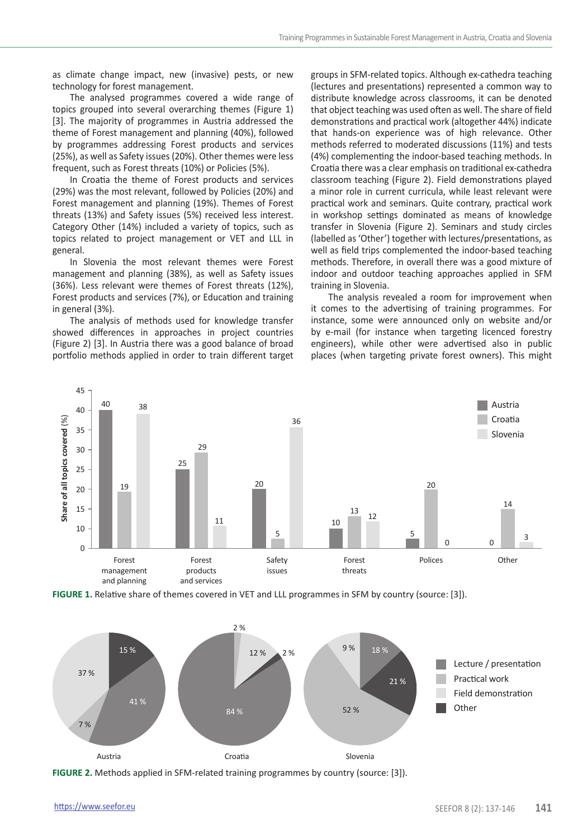as climate change impact, new (invasive) pests, or new technology for forest management.

The analysed programmes covered a wide range of topics grouped into several overarching themes (Figure 1) [3]. The majority of programmes in Austria addressed the theme of Forest management and planning (40%), followed by programmes addressing Forest products and services (25%), as well as Safety issues (20%). Other themes were less frequent, such as Forest threats (10%) or Policies (5%).

In Croatia the theme of Forest products and services (29%) was the most relevant, followed by Policies (20%) and Forest management and planning (19%). Themes of Forest threats (13%) and Safety issues (5%) received less interest. Category Other (14%) included a variety of topics, such as topics related to project management or VET and LLL in general.

In Slovenia the most relevant themes were Forest management and planning (38%), as well as Safety issues (36%). Less relevant were themes of Forest threats (12%), Forest products and services (7%), or Education and training in general (3%).

The analysis of methods used for knowledge transfer showed differences in approaches in project countries (Figure 2) [3]. In Austria there was a good balance of broad portfolio methods applied in order to train different target groups in SFM-related topics. Although ex-cathedra teaching (lectures and presentations) represented a common way to distribute knowledge across classrooms, it can be denoted that object teaching was used often as well. The share of field demonstrations and practical work (altogether 44%) indicate that hands-on experience was of high relevance. Other methods referred to moderated discussions (11%) and tests (4%) complementing the indoor-based teaching methods. In Croatia there was a clear emphasis on traditional ex-cathedra classroom teaching (Figure 2). Field demonstrations played a minor role in current curricula, while least relevant were practical work and seminars. Quite contrary, practical work in workshop settings dominated as means of knowledge transfer in Slovenia (Figure 2). Seminars and study circles (labelled as 'Other') together with lectures/presentations, as well as field trips complemented the indoor-based teaching methods. Therefore, in overall there was a good mixture of indoor and outdoor teaching approaches applied in SFM training in Slovenia.

The analysis revealed a room for improvement when it comes to the advertising of training programmes. For instance, some were announced only on website and/or by e-mail (for instance when targeting licenced forestry engineers), while other were advertised also in public places (when targeting private forest owners). This might



**FIGURE 1.** Relative share of themes covered in VET and LLL programmes in SFM by country (source: [3]).



**FIGURE 2.** Methods applied in SFM-related training programmes by country (source: [3]).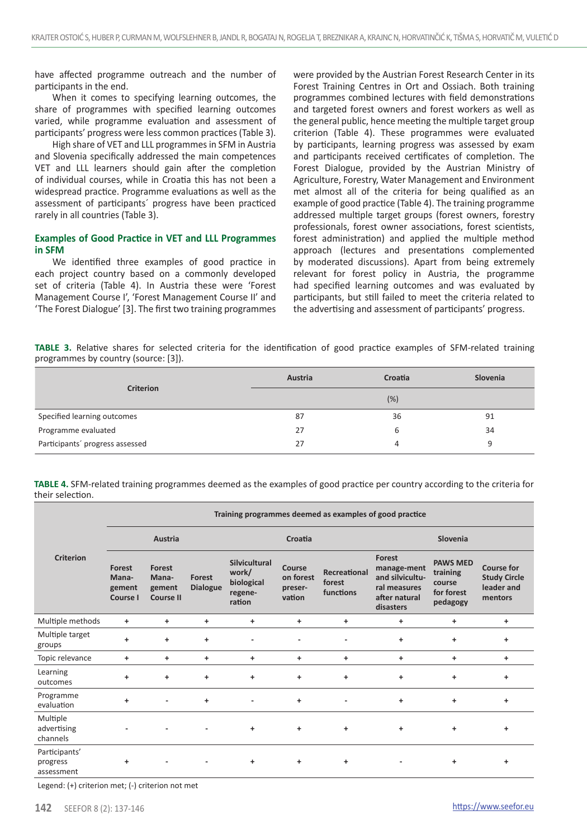have affected programme outreach and the number of participants in the end.

When it comes to specifying learning outcomes, the share of programmes with specified learning outcomes varied, while programme evaluation and assessment of participants' progress were less common practices (Table 3).

High share of VET and LLL programmes in SFM in Austria and Slovenia specifically addressed the main competences VET and LLL learners should gain after the completion of individual courses, while in Croatia this has not been a widespread practice. Programme evaluations as well as the assessment of participants´ progress have been practiced rarely in all countries (Table 3).

## **Examples of Good Practice in VET and LLL Programmes in SFM**

We identified three examples of good practice in each project country based on a commonly developed set of criteria (Table 4). In Austria these were 'Forest Management Course I', 'Forest Management Course II' and 'The Forest Dialogue' [3]. The first two training programmes

were provided by the Austrian Forest Research Center in its Forest Training Centres in Ort and Ossiach. Both training programmes combined lectures with field demonstrations and targeted forest owners and forest workers as well as the general public, hence meeting the multiple target group criterion (Table 4). These programmes were evaluated by participants, learning progress was assessed by exam and participants received certificates of completion. The Forest Dialogue, provided by the Austrian Ministry of Agriculture, Forestry, Water Management and Environment met almost all of the criteria for being qualified as an example of good practice (Table 4). The training programme addressed multiple target groups (forest owners, forestry professionals, forest owner associations, forest scientists, forest administration) and applied the multiple method approach (lectures and presentations complemented by moderated discussions). Apart from being extremely relevant for forest policy in Austria, the programme had specified learning outcomes and was evaluated by participants, but still failed to meet the criteria related to the advertising and assessment of participants' progress.

**TABLE 3.** Relative shares for selected criteria for the identification of good practice examples of SFM-related training programmes by country (source: [3]).

| <b>Criterion</b>                | Austria | Croatia | Slovenia |  |  |
|---------------------------------|---------|---------|----------|--|--|
|                                 | (%)     |         |          |  |  |
| Specified learning outcomes     | 87      | 36      | 91       |  |  |
| Programme evaluated             | 27      | 6       | 34       |  |  |
| Participants' progress assessed | 27      | 4       | 9        |  |  |

**TABLE 4.** SFM-related training programmes deemed as the examples of good practice per country according to the criteria for their selection.

|                                         | Training programmes deemed as examples of good practice |                                               |                           |                                                           |                                          |                                     |                                                                                        |                                                                 |                                                                   |
|-----------------------------------------|---------------------------------------------------------|-----------------------------------------------|---------------------------|-----------------------------------------------------------|------------------------------------------|-------------------------------------|----------------------------------------------------------------------------------------|-----------------------------------------------------------------|-------------------------------------------------------------------|
| Criterion                               | Austria                                                 |                                               |                           | Croatia                                                   |                                          |                                     | Slovenia                                                                               |                                                                 |                                                                   |
|                                         | Forest<br>Mana-<br>gement<br>Course I                   | Forest<br>Mana-<br>gement<br><b>Course II</b> | Forest<br><b>Dialogue</b> | Silvicultural<br>work/<br>biological<br>regene-<br>ration | Course<br>on forest<br>preser-<br>vation | Recreational<br>forest<br>functions | Forest<br>manage-ment<br>and silvicultu-<br>ral measures<br>after natural<br>disasters | <b>PAWS MED</b><br>training<br>course<br>for forest<br>pedagogy | <b>Course for</b><br><b>Study Circle</b><br>leader and<br>mentors |
| Multiple methods                        | $\ddot{}$                                               | $\ddot{}$                                     | $\ddot{}$                 | $\ddot{}$                                                 | $\ddot{}$                                | +                                   | ÷                                                                                      | ÷                                                               | ÷                                                                 |
| Multiple target<br>groups               | ÷                                                       | $\ddot{}$                                     | $\ddot{}$                 | $\blacksquare$                                            | ٠                                        | ٠                                   | $\ddot{}$                                                                              | $\ddot{}$                                                       | $\ddot{}$                                                         |
| Topic relevance                         | $\ddot{}$                                               | $\ddot{}$                                     | $\ddot{}$                 | $\ddot{}$                                                 | $\ddot{}$                                | $\ddot{}$                           | $\ddot{}$                                                                              | $\ddot{}$                                                       | $\ddot{}$                                                         |
| Learning<br>outcomes                    | $\ddot{}$                                               | $\ddot{}$                                     | $\ddot{}$                 | $\ddot{}$                                                 | $\ddot{}$                                | $\ddot{}$                           | $\ddot{}$                                                                              | $\ddot{}$                                                       | $\ddot{}$                                                         |
| Programme<br>evaluation                 | $\ddot{}$                                               |                                               | $\ddot{}$                 | $\overline{\phantom{a}}$                                  | $\ddot{}$                                | ٠                                   | $\ddot{}$                                                                              | $\ddot{}$                                                       | $\ddot{}$                                                         |
| Multiple<br>advertising<br>channels     |                                                         |                                               |                           | $\ddot{}$                                                 | $\ddot{}$                                | $\ddot{}$                           | $\ddot{}$                                                                              | $\ddot{}$                                                       | $\ddot{}$                                                         |
| Participants'<br>progress<br>assessment | ÷                                                       |                                               |                           | ÷                                                         | ÷                                        | ÷                                   | ٠                                                                                      | +                                                               | ÷                                                                 |

Legend: (+) criterion met; (-) criterion not met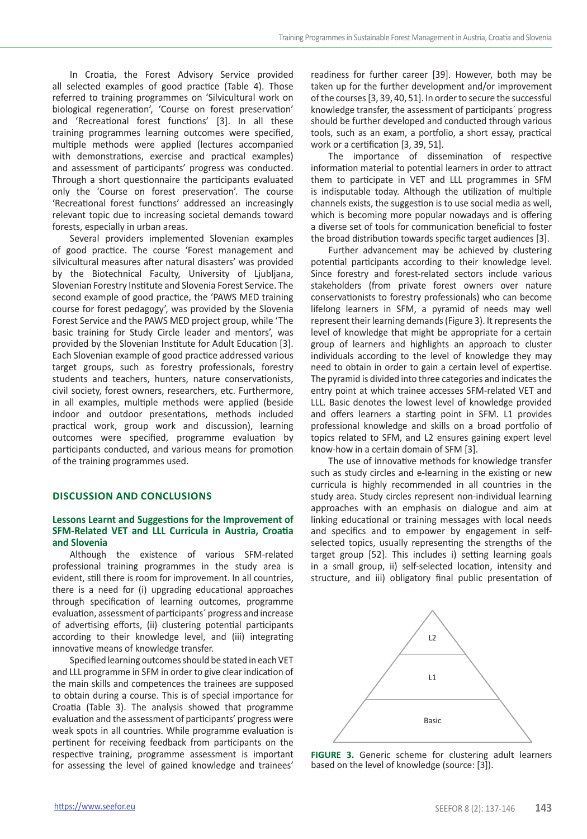In Croatia, the Forest Advisory Service provided all selected examples of good practice (Table 4). Those referred to training programmes on 'Silvicultural work on biological regeneration', 'Course on forest preservation' and 'Recreational forest functions' [3]. In all these training programmes learning outcomes were specified, multiple methods were applied (lectures accompanied with demonstrations, exercise and practical examples) and assessment of participants' progress was conducted. Through a short questionnaire the participants evaluated only the 'Course on forest preservation'. The course 'Recreational forest functions' addressed an increasingly relevant topic due to increasing societal demands toward forests, especially in urban areas.

Several providers implemented Slovenian examples of good practice. The course 'Forest management and silvicultural measures after natural disasters' was provided by the Biotechnical Faculty, University of Ljubljana, Slovenian Forestry Institute and Slovenia Forest Service. The second example of good practice, the 'PAWS MED training course for forest pedagogy', was provided by the Slovenia Forest Service and the PAWS MED project group, while 'The basic training for Study Circle leader and mentors', was provided by the Slovenian Institute for Adult Education [3]. Each Slovenian example of good practice addressed various target groups, such as forestry professionals, forestry students and teachers, hunters, nature conservationists, civil society, forest owners, researchers, etc. Furthermore, in all examples, multiple methods were applied (beside indoor and outdoor presentations, methods included practical work, group work and discussion), learning outcomes were specified, programme evaluation by participants conducted, and various means for promotion of the training programmes used.

# **DISCUSSION AND CONCLUSIONS**

#### **Lessons Learnt and Suggestions for the Improvement of SFM-Related VET and LLL Curricula in Austria, Croatia and Slovenia**

Although the existence of various SFM-related professional training programmes in the study area is evident, still there is room for improvement. In all countries, there is a need for (i) upgrading educational approaches through specification of learning outcomes, programme evaluation, assessment of participants´ progress and increase of advertising efforts, (ii) clustering potential participants according to their knowledge level, and (iii) integrating innovative means of knowledge transfer.

Specified learning outcomes should be stated in each VET and LLL programme in SFM in order to give clear indication of the main skills and competences the trainees are supposed to obtain during a course. This is of special importance for Croatia (Table 3). The analysis showed that programme evaluation and the assessment of participants' progress were weak spots in all countries. While programme evaluation is pertinent for receiving feedback from participants on the respective training, programme assessment is important for assessing the level of gained knowledge and trainees'

readiness for further career [39]. However, both may be taken up for the further development and/or improvement of the courses [3, 39, 40, 51]. In order to secure the successful knowledge transfer, the assessment of participants´ progress should be further developed and conducted through various tools, such as an exam, a portfolio, a short essay, practical work or a certification [3, 39, 51].

The importance of dissemination of respective information material to potential learners in order to attract them to participate in VET and LLL programmes in SFM is indisputable today. Although the utilization of multiple channels exists, the suggestion is to use social media as well, which is becoming more popular nowadays and is offering a diverse set of tools for communication beneficial to foster the broad distribution towards specific target audiences [3].

Further advancement may be achieved by clustering potential participants according to their knowledge level. Since forestry and forest-related sectors include various stakeholders (from private forest owners over nature conservationists to forestry professionals) who can become lifelong learners in SFM, a pyramid of needs may well represent their learning demands (Figure 3). It represents the level of knowledge that might be appropriate for a certain group of learners and highlights an approach to cluster individuals according to the level of knowledge they may need to obtain in order to gain a certain level of expertise. The pyramid is divided into three categories and indicates the entry point at which trainee accesses SFM-related VET and LLL. Basic denotes the lowest level of knowledge provided and offers learners a starting point in SFM. L1 provides professional knowledge and skills on a broad portfolio of topics related to SFM, and L2 ensures gaining expert level know-how in a certain domain of SFM [3].

The use of innovative methods for knowledge transfer such as study circles and e-learning in the existing or new curricula is highly recommended in all countries in the study area. Study circles represent non-individual learning approaches with an emphasis on dialogue and aim at linking educational or training messages with local needs and specifics and to empower by engagement in selfselected topics, usually representing the strengths of the target group [52]. This includes i) setting learning goals in a small group, ii) self-selected location, intensity and structure, and iii) obligatory final public presentation of



**FIGURE 3.** Generic scheme for clustering adult learners based on the level of knowledge (source: [3]).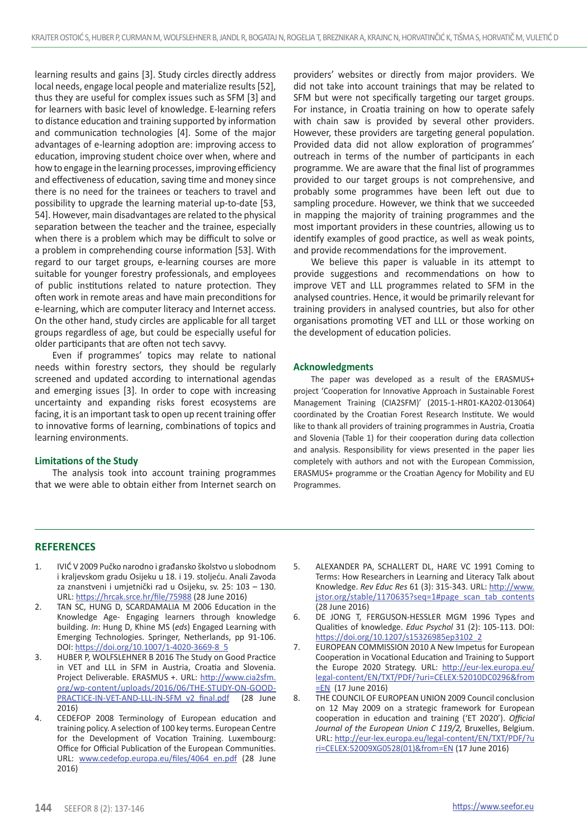learning results and gains [3]. Study circles directly address local needs, engage local people and materialize results [52], thus they are useful for complex issues such as SFM [3] and for learners with basic level of knowledge. E-learning refers to distance education and training supported by information and communication technologies [4]. Some of the major advantages of e-learning adoption are: improving access to education, improving student choice over when, where and how to engage in the learning processes, improving efficiency and effectiveness of education, saving time and money since there is no need for the trainees or teachers to travel and possibility to upgrade the learning material up-to-date [53, 54]. However, main disadvantages are related to the physical separation between the teacher and the trainee, especially when there is a problem which may be difficult to solve or a problem in comprehending course information [53]. With regard to our target groups, e-learning courses are more suitable for younger forestry professionals, and employees of public institutions related to nature protection. They often work in remote areas and have main preconditions for e-learning, which are computer literacy and Internet access. On the other hand, study circles are applicable for all target groups regardless of age, but could be especially useful for older participants that are often not tech savvy.

Even if programmes' topics may relate to national needs within forestry sectors, they should be regularly screened and updated according to international agendas and emerging issues [3]. In order to cope with increasing uncertainty and expanding risks forest ecosystems are facing, it is an important task to open up recent training offer to innovative forms of learning, combinations of topics and learning environments.

### **Limitations of the Study**

The analysis took into account training programmes that we were able to obtain either from Internet search on providers' websites or directly from major providers. We did not take into account trainings that may be related to SFM but were not specifically targeting our target groups. For instance, in Croatia training on how to operate safely with chain saw is provided by several other providers. However, these providers are targeting general population. Provided data did not allow exploration of programmes' outreach in terms of the number of participants in each programme. We are aware that the final list of programmes provided to our target groups is not comprehensive, and probably some programmes have been left out due to sampling procedure. However, we think that we succeeded in mapping the majority of training programmes and the most important providers in these countries, allowing us to identify examples of good practice, as well as weak points, and provide recommendations for the improvement.

We believe this paper is valuable in its attempt to provide suggestions and recommendations on how to improve VET and LLL programmes related to SFM in the analysed countries. Hence, it would be primarily relevant for training providers in analysed countries, but also for other organisations promoting VET and LLL or those working on the development of education policies.

#### **Acknowledgments**

The paper was developed as a result of the ERASMUS+ project 'Cooperation for Innovative Approach in Sustainable Forest Management Training (CIA2SFM)' (2015-1-HR01-KA202-013064) coordinated by the Croatian Forest Research Institute. We would like to thank all providers of training programmes in Austria, Croatia and Slovenia (Table 1) for their cooperation during data collection and analysis. Responsibility for views presented in the paper lies completely with authors and not with the European Commission, ERASMUS+ programme or the Croatian Agency for Mobility and EU Programmes.

#### **REFERENCES**

- 1. IVIĆ V 2009 Pučko narodno i građansko školstvo u slobodnom i kraljevskom gradu Osijeku u 18. i 19. stoljeću. Anali Zavoda za znanstveni i umjetnički rad u Osijeku, sv. 25: 103 – 130. URL: <https://hrcak.srce.hr/file/75988> (28 June 2016)
- 2. TAN SC, HUNG D, SCARDAMALIA M 2006 Education in the Knowledge Age- Engaging learners through knowledge building. *In*: Hung D, Khine MS (*eds*) Engaged Learning with Emerging Technologies. Springer, Netherlands, pp 91-106. DOI: [https://doi.org/10.1007/1-4020-3669-8\\_5](https://doi.org/10.1007/1-4020-3669-8_5)
- 3. HUBER P, WOLFSLEHNER B 2016 The Study on Good Practice in VET and LLL in SFM in Austria, Croatia and Slovenia. Project Deliverable. ERASMUS +. URL: http://www.cia2sfm. org/wp-content/uploads/2016/06/THE-STUDY-ON-GOOD-PRACTICE-IN-VET-AND-LLL-IN-SFM\_v2\_final.pdf (28 June 2016)
- 4. CEDEFOP 2008 Terminology of European education and training policy. A selection of 100 key terms. European Centre for the Development of Vocation Training. Luxembourg: Office for Official Publication of the European Communities. URL: [www.cedefop.europa.eu/files/4064\\_en.pdf](http://www.cedefop.europa.eu/files/4064_en.pdf) (28 June 2016)
- 5. ALEXANDER PA, SCHALLERT DL, HARE VC 1991 Coming to Terms: How Researchers in Learning and Literacy Talk about Knowledge. *Rev Educ Res* 61 (3): 315-343. URL: [http://www.](http://www.jstor.org/stable/1170635?seq=1#page_scan_tab_contents) [jstor.org/stable/1170635?seq=1#page\\_scan\\_tab\\_contents](http://www.jstor.org/stable/1170635?seq=1#page_scan_tab_contents) (28 June 2016)
- 6. DE JONG T, FERGUSON-HESSLER MGM 1996 Types and Qualities of knowledge. *Educ Psychol* 31 (2): 105-113. DOI: [https://doi.org/10.1207/s15326985ep3102\\_2](https://doi.org/10.1207/s15326985ep3102_2)
- 7. EUROPEAN COMMISSION 2010 A New Impetus for European Cooperation in Vocational Education and Training to Support the Europe 2020 Strategy. URL: [http://eur-lex.europa.eu/](http://eur-lex.europa.eu/legal-content/EN/TXT/PDF/?uri=CELEX:52010DC0296&from=EN) [legal-content/EN/TXT/PDF/?uri=CELEX:52010DC0296&from](http://eur-lex.europa.eu/legal-content/EN/TXT/PDF/?uri=CELEX:52010DC0296&from=EN) [=EN](http://eur-lex.europa.eu/legal-content/EN/TXT/PDF/?uri=CELEX:52010DC0296&from=EN) (17 June 2016)
- 8. THE COUNCIL OF EUROPEAN UNION 2009 Council conclusion on 12 May 2009 on a strategic framework for European cooperation in education and training ('ET 2020'). *Official Journal of the European Union C 119/2,* Bruxelles, Belgium. URL: [http://eur-lex.europa.eu/legal-content/EN/TXT/PDF/?u](http://eur-lex.europa.eu/legal-content/EN/TXT/PDF/?uri=CELEX:52009XG0528(01)&from=EN) [ri=CELEX:52009XG0528\(01\)&from=EN](http://eur-lex.europa.eu/legal-content/EN/TXT/PDF/?uri=CELEX:52009XG0528(01)&from=EN) (17 June 2016)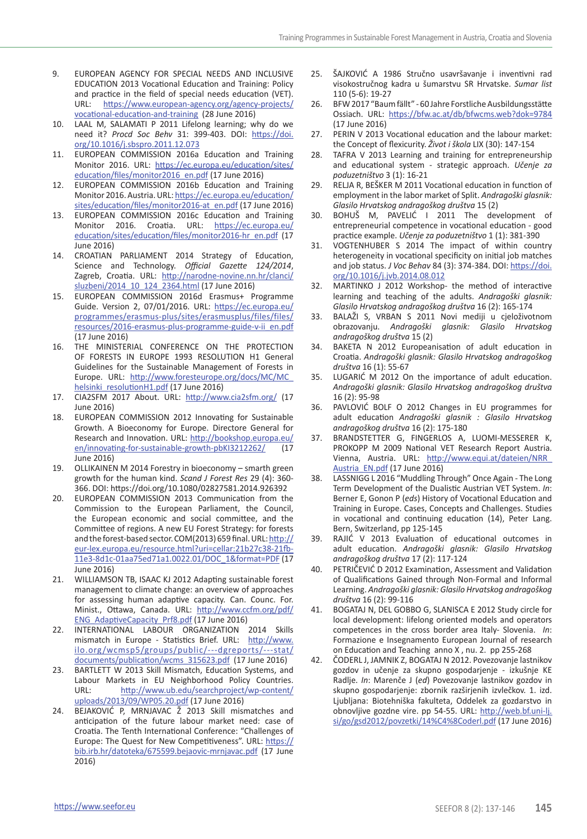- 9. EUROPEAN AGENCY FOR SPECIAL NEEDS AND INCLUSIVE EDUCATION 2013 Vocational Education and Training: Policy and practice in the field of special needs education (VET). URL: [https://www.european-agency.org/agency-projects/](https://www.european-agency.org/agency-projects/vocational-education-and-training) [vocational-education-and-training](https://www.european-agency.org/agency-projects/vocational-education-and-training) (28 June 2016)
- 10. LAAL M, SALAMATI P 2011 Lifelong learning; why do we need it? *Procd Soc Behv* 31: 399-403. DOI: [https://doi.](https://doi.org/10.1016/j.sbspro.2011.12.073) [org/10.1016/j.sbspro.2011.12.073](https://doi.org/10.1016/j.sbspro.2011.12.073)
- 11. EUROPEAN COMMISSION 2016a Education and Training Monitor 2016. URL: https://ec.europa.eu/education/sites/ education/files/monitor2016\_en.pdf (17 June 2016)
- 12. EUROPEAN COMMISSION 2016b Education and Training Monitor 2016. Austria. URL: [https://ec.europa.eu/education/](https://ec.europa.eu/education/sites/education/files/monitor2016-at_en.pdf Accessed 17 June 2016) [sites/education/files/monitor2016-at\\_en.pdf](https://ec.europa.eu/education/sites/education/files/monitor2016-at_en.pdf Accessed 17 June 2016) (17 June 2016)
- 13. EUROPEAN COMMISSION 2016c Education and Training Monitor 2016. Croatia. URL: [https://ec.europa.eu/](https://ec.europa.eu/education/sites/education/files/monitor2016-hr_en.pdf Accessed 17 June 2016) [education/sites/education/files/monitor2016-hr\\_en.pdf](https://ec.europa.eu/education/sites/education/files/monitor2016-hr_en.pdf Accessed 17 June 2016) (17 June 2016)
- 14. CROATIAN PARLIAMENT 2014 Strategy of Education, Science and Technology. *Official Gazette 124/2014*, Zagreb, Croatia. URL: [http://narodne-novine.nn.hr/clanci/](http://narodne-novine.nn.hr/clanci/sluzbeni/2014_10_124_2364.html Accessed 17 June 2016) [sluzbeni/2014\\_10\\_124\\_2364.html](http://narodne-novine.nn.hr/clanci/sluzbeni/2014_10_124_2364.html Accessed 17 June 2016) (17 June 2016)
- 15. EUROPEAN COMMISSION 2016d Erasmus+ Programme Guide. Version 2, 07/01/2016. URL: [https://ec.europa.eu/](https://ec.europa.eu/programmes/erasmus-plus/sites/erasmusplus/files/files/resources/2016-erasmus-plus-programme-guide-v-ii_en.pdf) [programmes/erasmus-plus/sites/erasmusplus/files/files/](https://ec.europa.eu/programmes/erasmus-plus/sites/erasmusplus/files/files/resources/2016-erasmus-plus-programme-guide-v-ii_en.pdf) [resources/2016-erasmus-plus-programme-guide-v-ii\\_en.pdf](https://ec.europa.eu/programmes/erasmus-plus/sites/erasmusplus/files/files/resources/2016-erasmus-plus-programme-guide-v-ii_en.pdf) (17 June 2016)
- 16. THE MINISTERIAL CONFERENCE ON THE PROTECTION OF FORESTS IN EUROPE 1993 RESOLUTION H1 General Guidelines for the Sustainable Management of Forests in Europe. URL: [http://www.foresteurope.org/docs/MC/MC\\_](http://www.foresteurope.org/docs/MC/MC_helsinki_resolutionH1.pdf) [helsinki\\_resolutionH1.pdf](http://www.foresteurope.org/docs/MC/MC_helsinki_resolutionH1.pdf) (17 June 2016)
- 17. CIA2SFM 2017 About. URL: <http://www.cia2sfm.org/> (17 June 2016)
- 18. EUROPEAN COMMISSION 2012 Innovating for Sustainable Growth. A Bioeconomy for Europe. Directore General for Research and Innovation. URL: [http://bookshop.europa.eu/](http://bookshop.europa.eu/en/innovating-for-sustainable-growth-pbKI3212262/) [en/innovating-for-sustainable-growth-pbKI3212262/](http://bookshop.europa.eu/en/innovating-for-sustainable-growth-pbKI3212262/) (17 June 2016)
- 19. OLLIKAINEN M 2014 Forestry in bioeconomy smarth green growth for the human kind. *Scand J Forest Res* 29 (4): 360- 366. DOI: https://doi.org[/10.1080/02827581.2014.926392](http://dx.doi.org/10.1080/02827581.2014.926392)
- 20. EUROPEAN COMMISSION 2013 Communication from the Commission to the European Parliament, the Council, the European economic and social committee, and the Committee of regions. A new EU Forest Strategy: for forests and the forest-based sector. COM(2013) 659 final. URL: [http://](http://eur-lex.europa.eu/resource.html?uri=cellar:21b27c38-21fb-11e3-8d1c-01aa75ed71a1.0022.01/DOC_1&format=PDF) [eur-lex.europa.eu/resource.html?uri=cellar:21b27c38-21fb-](http://eur-lex.europa.eu/resource.html?uri=cellar:21b27c38-21fb-11e3-8d1c-01aa75ed71a1.0022.01/DOC_1&format=PDF)[11e3-8d1c-01aa75ed71a1.0022.01/DOC\\_1&format=PDF](http://eur-lex.europa.eu/resource.html?uri=cellar:21b27c38-21fb-11e3-8d1c-01aa75ed71a1.0022.01/DOC_1&format=PDF) (17 June 2016)
- 21. WILLIAMSON TB, ISAAC KJ 2012 Adapting sustainable forest management to climate change: an overview of approaches for assessing human adaptive capacity. Can. Counc. For. Minist., Ottawa, Canada. URL: [http://www.ccfm.org/pdf/](http://www.ccfm.org/pdf/ENG_AdaptiveCapacity_Prf8.pdf) [ENG\\_AdaptiveCapacity\\_Prf8.pdf](http://www.ccfm.org/pdf/ENG_AdaptiveCapacity_Prf8.pdf) (17 June 2016)
- 22. INTERNATIONAL LABOUR ORGANIZATION 2014 Skills mismatch in Europe - Statistics Brief. URL: [http://www.](http://www.ilo.org/wcmsp5/groups/public/---dgreports/---stat/documents/publication/wcms_315623.pdf) [ilo.org/wcmsp5/groups/public/---dgreports/---stat/](http://www.ilo.org/wcmsp5/groups/public/---dgreports/---stat/documents/publication/wcms_315623.pdf) [documents/publication/wcms\\_315623.pdf](http://www.ilo.org/wcmsp5/groups/public/---dgreports/---stat/documents/publication/wcms_315623.pdf) (17 June 2016)
- 23. BARTLETT W 2013 Skill Mismatch, Education Systems, and Labour Markets in EU Neighborhood Policy Countries.<br>URL: http://www.ub.edu/searchproject/wp-content/ [http://www.ub.edu/searchproject/wp-content/](http://www.ub.edu/searchproject/wp-content/uploads/2013/09/WP05.20.pdf) [uploads/2013/09/WP05.20.pdf](http://www.ub.edu/searchproject/wp-content/uploads/2013/09/WP05.20.pdf) (17 June 2016)
- 24. BEJAKOVIĆ P, MRNJAVAC Ž 2013 Skill mismatches and anticipation of the future labour market need: case of Croatia. The Tenth International Conference: "Challenges of Europe: The Quest for New Competitiveness". URL: [https://](https://bib.irb.hr/datoteka/675599.bejaovic-mrnjavac.pdf) [bib.irb.hr/datoteka/675599.bejaovic-mrnjavac.pdf](https://bib.irb.hr/datoteka/675599.bejaovic-mrnjavac.pdf) (17 June 2016)
- 25. ŠAJKOVIĆ A 1986 Stručno usavršavanje i inventivni rad visokostručnog kadra u šumarstvu SR Hrvatske. *Sumar list* 110 (5-6): 19-27
- 26. BFW 2017 "Baum fällt" 60 Jahre Forstliche Ausbildungsstätte Ossiach. URL: https://bfw.ac.at/db/bfwcms.web?dok=9784 (17 June 2016)
- 27. PERIN V 2013 Vocational education and the labour market: the Concept of flexicurity. *Život i škola* LIX (30): 147-154
- 28. TAFRA V 2013 Learning and training for entrepreneurship and educational system - strategic approach. *Učenje za poduzetništvo* 3 (1): 16-21
- 29. RELJA R, BEŠKER M 2011 Vocational education in function of employment in the labor market of Split. *Andragoški glasnik: Glasilo Hrvatskog andragoškog društva* 15 (2)
- 30. BOHUŠ M, PAVELIĆ I 2011 The development of entrepreneurial competence in vocational education - good practice example. *Učenje za poduzetništvo* 1 (1): 381-390
- 31. VOGTENHUBER S 2014 The impact of within country heterogeneity in vocational specificity on initial job matches and job status. *J Voc Behav* 84 (3): 374-384. DOI: [https://doi.](https://doi.org/10.1016/j.jvb.2014.08.012) [org/10.1016/j.jvb.2014.08.012](https://doi.org/10.1016/j.jvb.2014.08.012)
- 32. MARTINKO J 2012 Workshop- the method of interactive learning and teaching of the adults. *Andragoški glasnik: Glasilo Hrvatskog andragoškog društva* 16 (2): 165-174
- 33. BALAŽI S, VRBAN S 2011 Novi mediji u cjeloživotnom obrazovanju. *Andragoški glasnik: Glasilo Hrvatskog andragoškog društva* 15 (2)
- 34. BAKETA N 2012 Europeanisation of adult education in Croatia. *Andragoški glasnik: Glasilo Hrvatskog andragoškog društva* 16 (1): 55-67
- 35. LUGARIĆ M 2012 On the importance of adult education. *Andragoški glasnik: Glasilo Hrvatskog andragoškog društva* 16 (2): 95-98
- 36. PAVLOVIĆ BOLF O 2012 Changes in EU programmes for adult education *Andragoški glasnik : Glasilo Hrvatskog andragoškog društva* 16 (2): 175-180
- 37. BRANDSTETTER G, FINGERLOS A, LUOMI-MESSERER K, PROKOPP M 2009 National VET Research Report Austria. Vienna, Austria. URL: [http://www.equi.at/dateien/NRR\\_](http://www.equi.at/dateien/NRR_Austria_EN.pdf) [Austria\\_EN.pdf](http://www.equi.at/dateien/NRR_Austria_EN.pdf) (17 June 2016)
- 38. LASSNIGG L 2016 "Muddling Through" Once Again The Long Term Development of the Dualistic Austrian VET System. *In*: Berner E, Gonon P (*eds*) History of Vocational Education and Training in Europe. Cases, Concepts and Challenges. Studies in vocational and continuing education (14), Peter Lang. Bern, Switzerland, pp 125-145
- 39. RAJIĆ V 2013 Evaluation of educational outcomes in adult education. *Andragoški glasnik: Glasilo Hrvatskog andragoškog društva* 17 (2): 117-124
- 40. PETRIČEVIĆ D 2012 Examination, Assessment and Validation of Qualifications Gained through Non-Formal and Informal Learning. *Andragoški glasnik: Glasilo Hrvatskog andragoškog društva* 16 (2): 99-116
- 41. BOGATAJ N, DEL GOBBO G, SLANISCA E 2012 Study circle for local development: lifelong oriented models and operators competences in the cross border area Italy- Slovenia. *In*: Formazione e Insegnamento European Journal of research on Education and Teaching anno X , nu. 2. pp 255-268
- 42. ČODERL J, JAMNIK Z, BOGATAJ N 2012. Povezovanje lastnikov gozdov in učenje za skupno gospodarjenje - izkušnje KE Radlje. *In*: Marenče J (*ed*) Povezovanje lastnikov gozdov in skupno gospodarjenje: zbornik razširjenih izvlečkov. 1. izd. Ljubljana: Biotehniška fakulteta, Oddelek za gozdarstvo in obnovljive gozdne vire. pp 54-55. URL: [http://web.bf.uni-lj.](http://web.bf.uni-lj.si/go/gsd2012/povzetki/14%C4%8Coderl.pdf) [si/go/gsd2012/povzetki/14%C4%8Coderl.pdf](http://web.bf.uni-lj.si/go/gsd2012/povzetki/14%C4%8Coderl.pdf) (17 June 2016)